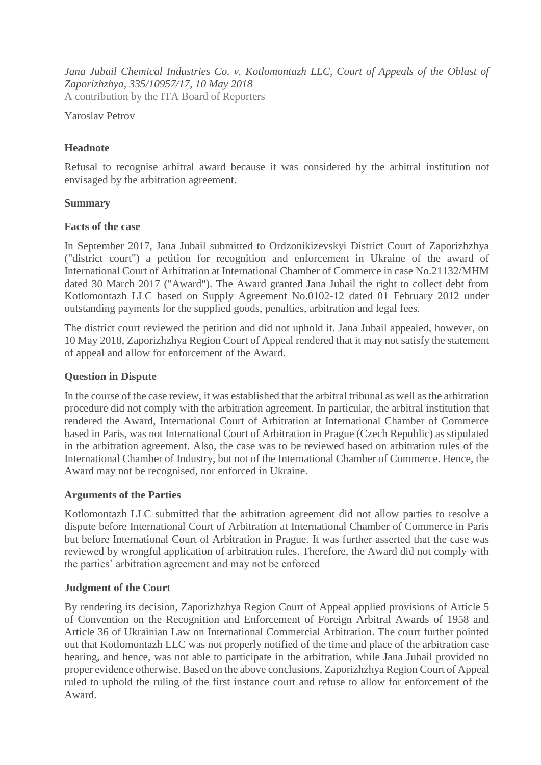Jana Jubail Chemical Industries Co. v. Kotlomontazh LLC, Court of Appeals of the Oblast of *Zaporizhzhya, 335/10957/17, 10 May 2018* A contribution by the ITA Board of Reporters

Yaroslav Petrov

# **Headnote**

Refusal to recognise arbitral award because it was considered by the arbitral institution not envisaged by the arbitration agreement.

## **Summary**

#### **Facts of the case**

In September 2017, Jana Jubail submitted to Ordzonikizevskyi District Court of Zaporizhzhya ("district court") a petition for recognition and enforcement in Ukraine of the award of International Court of Arbitration at International Chamber of Commerce in case No.21132/MHM dated 30 March 2017 ("Award"). The Award granted Jana Jubail the right to collect debt from Kotlomontazh LLC based on Supply Agreement No.0102-12 dated 01 February 2012 under outstanding payments for the supplied goods, penalties, arbitration and legal fees.

The district court reviewed the petition and did not uphold it. Jana Jubail appealed, however, on 10 May 2018, Zaporizhzhya Region Court of Appeal rendered that it may not satisfy the statement of appeal and allow for enforcement of the Award.

### **Question in Dispute**

In the course of the case review, it was established that the arbitral tribunal as well as the arbitration procedure did not comply with the arbitration agreement. In particular, the arbitral institution that rendered the Award, International Court of Arbitration at International Chamber of Commerce based in Paris, was not International Court of Arbitration in Prague (Czech Republic) as stipulated in the arbitration agreement. Also, the case was to be reviewed based on arbitration rules of the International Chamber of Industry, but not of the International Chamber of Commerce. Hence, the Award may not be recognised, nor enforced in Ukraine.

## **Arguments of the Parties**

Kotlomontazh LLC submitted that the arbitration agreement did not allow parties to resolve a dispute before International Court of Arbitration at International Chamber of Commerce in Paris but before International Court of Arbitration in Prague. It was further asserted that the case was reviewed by wrongful application of arbitration rules. Therefore, the Award did not comply with the parties' arbitration agreement and may not be enforced

## **Judgment of the Court**

By rendering its decision, Zaporizhzhya Region Court of Appeal applied provisions of Article 5 of Convention on the Recognition and Enforcement of Foreign Arbitral Awards of 1958 and Article 36 of Ukrainian Law on International Commercial Arbitration. The court further pointed out that Kotlomontazh LLC was not properly notified of the time and place of the arbitration case hearing, and hence, was not able to participate in the arbitration, while Jana Jubail provided no proper evidence otherwise. Based on the above conclusions, Zaporizhzhya Region Court of Appeal ruled to uphold the ruling of the first instance court and refuse to allow for enforcement of the Award.